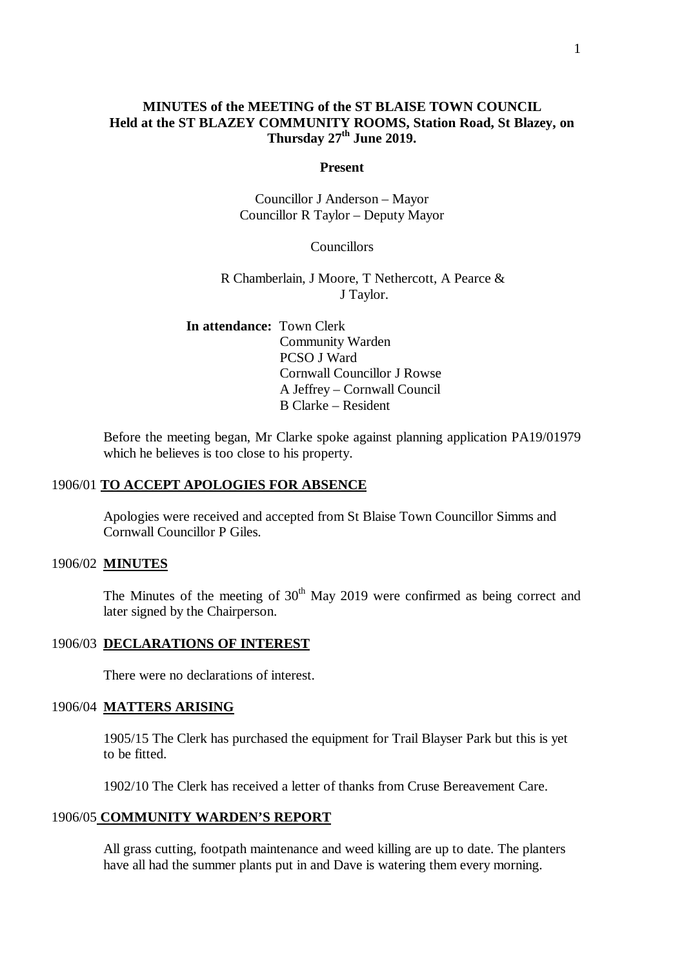## **MINUTES of the MEETING of the ST BLAISE TOWN COUNCIL Held at the ST BLAZEY COMMUNITY ROOMS, Station Road, St Blazey, on Thursday 27 th June 2019.**

#### **Present**

Councillor J Anderson – Mayor Councillor R Taylor – Deputy Mayor

### Councillors

R Chamberlain, J Moore, T Nethercott, A Pearce & J Taylor.

**In attendance:** Town Clerk Community Warden PCSO J Ward Cornwall Councillor J Rowse A Jeffrey – Cornwall Council B Clarke – Resident

Before the meeting began, Mr Clarke spoke against planning application PA19/01979 which he believes is too close to his property.

### 1906/01 **TO ACCEPT APOLOGIES FOR ABSENCE**

Apologies were received and accepted from St Blaise Town Councillor Simms and Cornwall Councillor P Giles.

#### 1906/02 **MINUTES**

The Minutes of the meeting of  $30<sup>th</sup>$  May 2019 were confirmed as being correct and later signed by the Chairperson.

### 1906/03 **DECLARATIONS OF INTEREST**

There were no declarations of interest.

### 1906/04 **MATTERS ARISING**

1905/15 The Clerk has purchased the equipment for Trail Blayser Park but this is yet to be fitted.

1902/10 The Clerk has received a letter of thanks from Cruse Bereavement Care.

### 1906/05 **COMMUNITY WARDEN'S REPORT**

All grass cutting, footpath maintenance and weed killing are up to date. The planters have all had the summer plants put in and Dave is watering them every morning.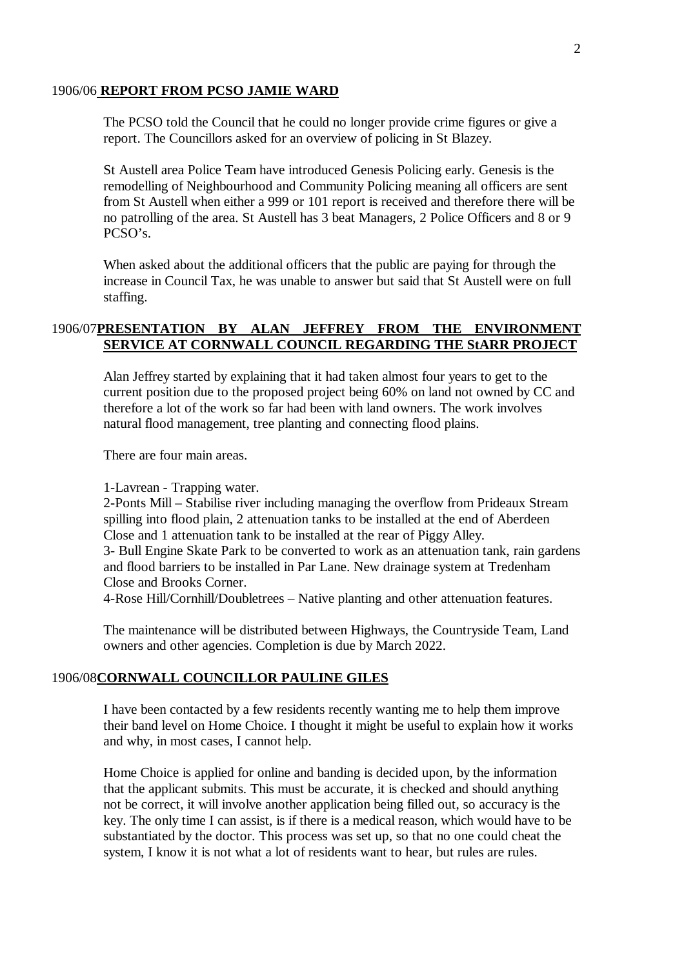#### 1906/06 **REPORT FROM PCSO JAMIE WARD**

The PCSO told the Council that he could no longer provide crime figures or give a report. The Councillors asked for an overview of policing in St Blazey.

St Austell area Police Team have introduced Genesis Policing early. Genesis is the remodelling of Neighbourhood and Community Policing meaning all officers are sent from St Austell when either a 999 or 101 report is received and therefore there will be no patrolling of the area. St Austell has 3 beat Managers, 2 Police Officers and 8 or 9 PCSO's.

When asked about the additional officers that the public are paying for through the increase in Council Tax, he was unable to answer but said that St Austell were on full staffing.

# 1906/07**PRESENTATION BY ALAN JEFFREY FROM THE ENVIRONMENT SERVICE AT CORNWALL COUNCIL REGARDING THE StARR PROJECT**

Alan Jeffrey started by explaining that it had taken almost four years to get to the current position due to the proposed project being 60% on land not owned by CC and therefore a lot of the work so far had been with land owners. The work involves natural flood management, tree planting and connecting flood plains.

There are four main areas.

1-Lavrean - Trapping water.

2-Ponts Mill – Stabilise river including managing the overflow from Prideaux Stream spilling into flood plain, 2 attenuation tanks to be installed at the end of Aberdeen Close and 1 attenuation tank to be installed at the rear of Piggy Alley.

3- Bull Engine Skate Park to be converted to work as an attenuation tank, rain gardens and flood barriers to be installed in Par Lane. New drainage system at Tredenham Close and Brooks Corner.

4-Rose Hill/Cornhill/Doubletrees – Native planting and other attenuation features.

The maintenance will be distributed between Highways, the Countryside Team, Land owners and other agencies. Completion is due by March 2022.

### 1906/08**CORNWALL COUNCILLOR PAULINE GILES**

I have been contacted by a few residents recently wanting me to help them improve their band level on Home Choice. I thought it might be useful to explain how it works and why, in most cases, I cannot help.

Home Choice is applied for online and banding is decided upon, by the information that the applicant submits. This must be accurate, it is checked and should anything not be correct, it will involve another application being filled out, so accuracy is the key. The only time I can assist, is if there is a medical reason, which would have to be substantiated by the doctor. This process was set up, so that no one could cheat the system, I know it is not what a lot of residents want to hear, but rules are rules.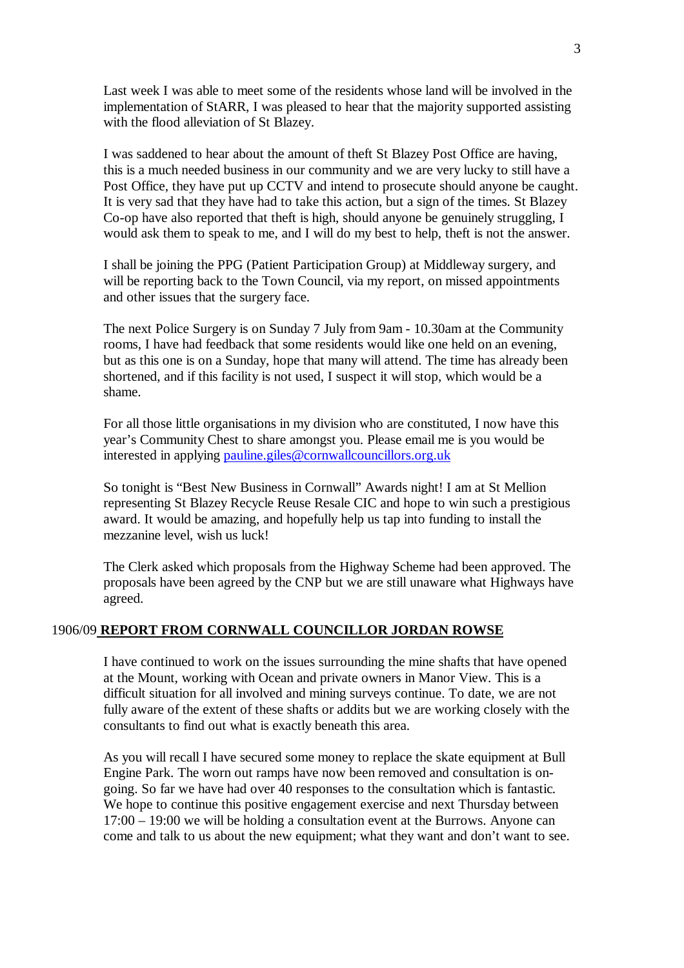Last week I was able to meet some of the residents whose land will be involved in the implementation of StARR, I was pleased to hear that the majority supported assisting with the flood alleviation of St Blazey.

I was saddened to hear about the amount of theft St Blazey Post Office are having, this is a much needed business in our community and we are very lucky to still have a Post Office, they have put up CCTV and intend to prosecute should anyone be caught. It is very sad that they have had to take this action, but a sign of the times. St Blazey Co-op have also reported that theft is high, should anyone be genuinely struggling, I would ask them to speak to me, and I will do my best to help, theft is not the answer.

I shall be joining the PPG (Patient Participation Group) at Middleway surgery, and will be reporting back to the Town Council, via my report, on missed appointments and other issues that the surgery face.

The next Police Surgery is on Sunday 7 July from 9am - 10.30am at the Community rooms, I have had feedback that some residents would like one held on an evening, but as this one is on a Sunday, hope that many will attend. The time has already been shortened, and if this facility is not used, I suspect it will stop, which would be a shame.

For all those little organisations in my division who are constituted, I now have this year's Community Chest to share amongst you. Please email me is you would be interested in applying [pauline.giles@cornwallcouncillors.org.uk](mailto:pauline.giles@cornwallcouncillors.org.uk)

So tonight is "Best New Business in Cornwall" Awards night! I am at St Mellion representing St Blazey Recycle Reuse Resale CIC and hope to win such a prestigious award. It would be amazing, and hopefully help us tap into funding to install the mezzanine level, wish us luck!

The Clerk asked which proposals from the Highway Scheme had been approved. The proposals have been agreed by the CNP but we are still unaware what Highways have agreed.

### 1906/09 **REPORT FROM CORNWALL COUNCILLOR JORDAN ROWSE**

I have continued to work on the issues surrounding the mine shafts that have opened at the Mount, working with Ocean and private owners in Manor View. This is a difficult situation for all involved and mining surveys continue. To date, we are not fully aware of the extent of these shafts or addits but we are working closely with the consultants to find out what is exactly beneath this area.

As you will recall I have secured some money to replace the skate equipment at Bull Engine Park. The worn out ramps have now been removed and consultation is ongoing. So far we have had over 40 responses to the consultation which is fantastic. We hope to continue this positive engagement exercise and next Thursday between 17:00 – 19:00 we will be holding a consultation event at the Burrows. Anyone can come and talk to us about the new equipment; what they want and don't want to see.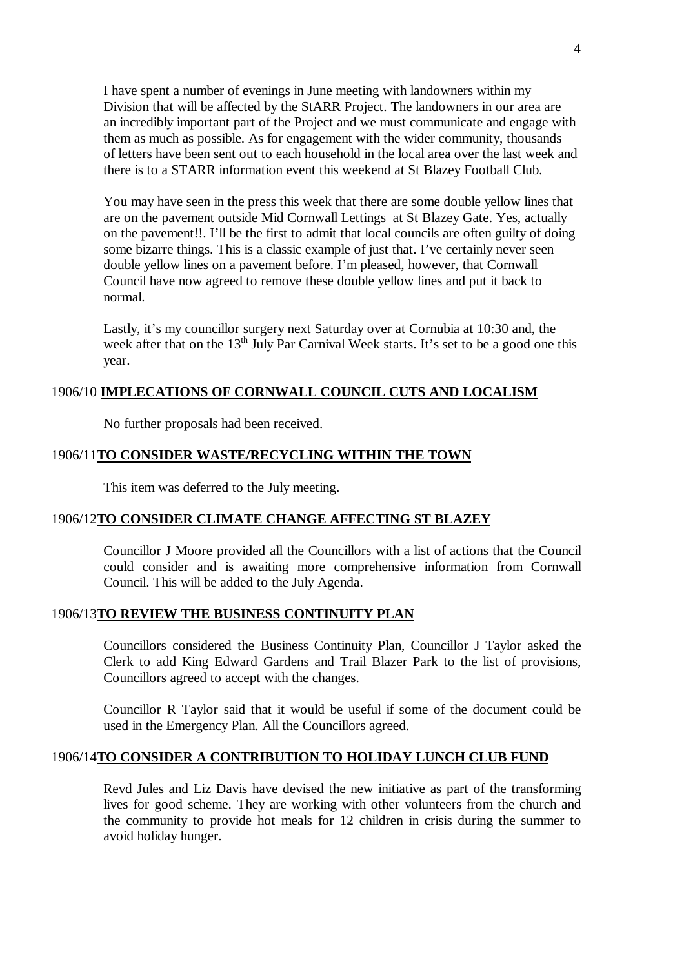I have spent a number of evenings in June meeting with landowners within my Division that will be affected by the StARR Project. The landowners in our area are an incredibly important part of the Project and we must communicate and engage with them as much as possible. As for engagement with the wider community, thousands of letters have been sent out to each household in the local area over the last week and there is to a STARR information event this weekend at St Blazey Football Club.

You may have seen in the press this week that there are some double yellow lines that are on the pavement outside Mid Cornwall Lettings at St Blazey Gate. Yes, actually on the pavement!!. I'll be the first to admit that local councils are often guilty of doing some bizarre things. This is a classic example of just that. I've certainly never seen double yellow lines on a pavement before. I'm pleased, however, that Cornwall Council have now agreed to remove these double yellow lines and put it back to normal.

Lastly, it's my councillor surgery next Saturday over at Cornubia at 10:30 and, the week after that on the  $13<sup>th</sup>$  July Par Carnival Week starts. It's set to be a good one this year.

### 1906/10 **IMPLECATIONS OF CORNWALL COUNCIL CUTS AND LOCALISM**

No further proposals had been received.

#### 1906/11**TO CONSIDER WASTE/RECYCLING WITHIN THE TOWN**

This item was deferred to the July meeting.

### 1906/12**TO CONSIDER CLIMATE CHANGE AFFECTING ST BLAZEY**

Councillor J Moore provided all the Councillors with a list of actions that the Council could consider and is awaiting more comprehensive information from Cornwall Council. This will be added to the July Agenda.

### 1906/13**TO REVIEW THE BUSINESS CONTINUITY PLAN**

Councillors considered the Business Continuity Plan, Councillor J Taylor asked the Clerk to add King Edward Gardens and Trail Blazer Park to the list of provisions, Councillors agreed to accept with the changes.

Councillor R Taylor said that it would be useful if some of the document could be used in the Emergency Plan. All the Councillors agreed.

#### 1906/14**TO CONSIDER A CONTRIBUTION TO HOLIDAY LUNCH CLUB FUND**

Revd Jules and Liz Davis have devised the new initiative as part of the transforming lives for good scheme. They are working with other volunteers from the church and the community to provide hot meals for 12 children in crisis during the summer to avoid holiday hunger.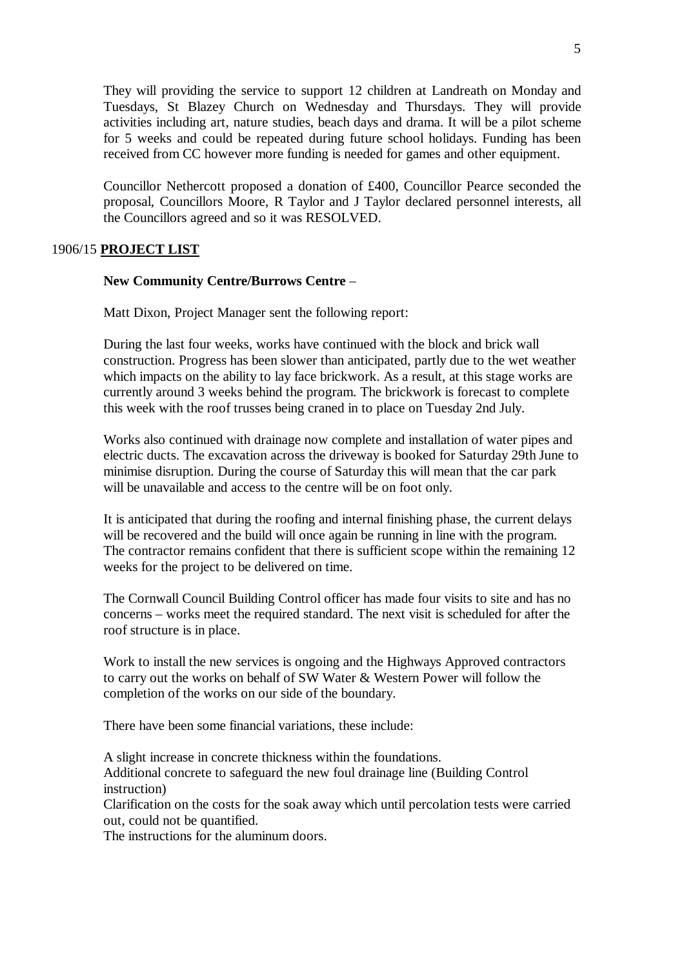They will providing the service to support 12 children at Landreath on Monday and Tuesdays, St Blazey Church on Wednesday and Thursdays. They will provide activities including art, nature studies, beach days and drama. It will be a pilot scheme for 5 weeks and could be repeated during future school holidays. Funding has been received from CC however more funding is needed for games and other equipment.

Councillor Nethercott proposed a donation of £400, Councillor Pearce seconded the proposal, Councillors Moore, R Taylor and J Taylor declared personnel interests, all the Councillors agreed and so it was RESOLVED.

### 1906/15 **PROJECT LIST**

#### **New Community Centre/Burrows Centre** –

Matt Dixon, Project Manager sent the following report:

During the last four weeks, works have continued with the block and brick wall construction. Progress has been slower than anticipated, partly due to the wet weather which impacts on the ability to lay face brickwork. As a result, at this stage works are currently around 3 weeks behind the program. The brickwork is forecast to complete this week with the roof trusses being craned in to place on Tuesday 2nd July.

Works also continued with drainage now complete and installation of water pipes and electric ducts. The excavation across the driveway is booked for Saturday 29th June to minimise disruption. During the course of Saturday this will mean that the car park will be unavailable and access to the centre will be on foot only.

It is anticipated that during the roofing and internal finishing phase, the current delays will be recovered and the build will once again be running in line with the program. The contractor remains confident that there is sufficient scope within the remaining 12 weeks for the project to be delivered on time.

The Cornwall Council Building Control officer has made four visits to site and has no concerns – works meet the required standard. The next visit is scheduled for after the roof structure is in place.

Work to install the new services is ongoing and the Highways Approved contractors to carry out the works on behalf of SW Water & Western Power will follow the completion of the works on our side of the boundary.

There have been some financial variations, these include:

A slight increase in concrete thickness within the foundations. Additional concrete to safeguard the new foul drainage line (Building Control instruction)

Clarification on the costs for the soak away which until percolation tests were carried out, could not be quantified.

The instructions for the aluminum doors.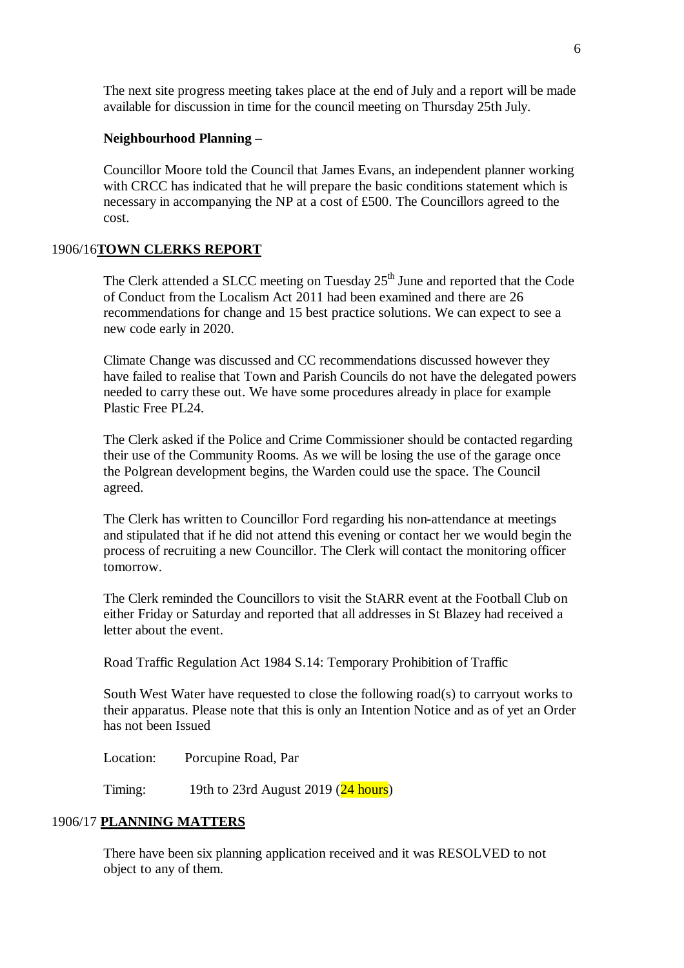The next site progress meeting takes place at the end of July and a report will be made available for discussion in time for the council meeting on Thursday 25th July.

#### **Neighbourhood Planning –**

Councillor Moore told the Council that James Evans, an independent planner working with CRCC has indicated that he will prepare the basic conditions statement which is necessary in accompanying the NP at a cost of £500. The Councillors agreed to the cost.

#### 1906/16**TOWN CLERKS REPORT**

The Clerk attended a SLCC meeting on Tuesday  $25<sup>th</sup>$  June and reported that the Code of Conduct from the Localism Act 2011 had been examined and there are 26 recommendations for change and 15 best practice solutions. We can expect to see a new code early in 2020.

Climate Change was discussed and CC recommendations discussed however they have failed to realise that Town and Parish Councils do not have the delegated powers needed to carry these out. We have some procedures already in place for example Plastic Free PL24.

The Clerk asked if the Police and Crime Commissioner should be contacted regarding their use of the Community Rooms. As we will be losing the use of the garage once the Polgrean development begins, the Warden could use the space. The Council agreed.

The Clerk has written to Councillor Ford regarding his non-attendance at meetings and stipulated that if he did not attend this evening or contact her we would begin the process of recruiting a new Councillor. The Clerk will contact the monitoring officer tomorrow.

The Clerk reminded the Councillors to visit the StARR event at the Football Club on either Friday or Saturday and reported that all addresses in St Blazey had received a letter about the event.

Road Traffic Regulation Act 1984 S.14: Temporary Prohibition of Traffic

South West Water have requested to close the following road(s) to carryout works to their apparatus. Please note that this is only an Intention Notice and as of yet an Order has not been Issued

Location: Porcupine Road, Par

Timing: 19th to 23rd August 2019  $(24 \text{ hours})$ 

### 1906/17 **PLANNING MATTERS**

There have been six planning application received and it was RESOLVED to not object to any of them.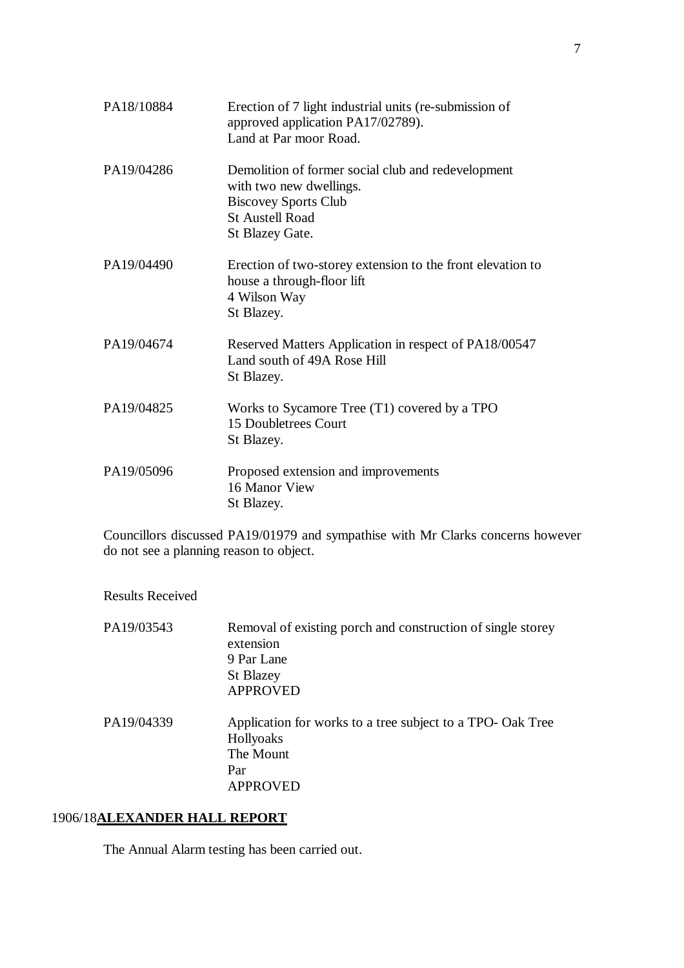| PA18/10884 | Erection of 7 light industrial units (re-submission of<br>approved application PA17/02789).<br>Land at Par moor Road.                                     |
|------------|-----------------------------------------------------------------------------------------------------------------------------------------------------------|
| PA19/04286 | Demolition of former social club and redevelopment<br>with two new dwellings.<br><b>Biscovey Sports Club</b><br><b>St Austell Road</b><br>St Blazey Gate. |
| PA19/04490 | Erection of two-storey extension to the front elevation to<br>house a through-floor lift<br>4 Wilson Way<br>St Blazey.                                    |
| PA19/04674 | Reserved Matters Application in respect of PA18/00547<br>Land south of 49A Rose Hill<br>St Blazey.                                                        |
| PA19/04825 | Works to Sycamore Tree (T1) covered by a TPO<br>15 Doubletrees Court<br>St Blazey.                                                                        |
| PA19/05096 | Proposed extension and improvements<br>16 Manor View<br>St Blazey.                                                                                        |

Councillors discussed PA19/01979 and sympathise with Mr Clarks concerns however do not see a planning reason to object.

Results Received

| PA19/03543 | Removal of existing porch and construction of single storey<br>extension<br>9 Par Lane<br><b>St Blazey</b><br><b>APPROVED</b> |
|------------|-------------------------------------------------------------------------------------------------------------------------------|
| PA19/04339 | Application for works to a tree subject to a TPO- Oak Tree<br>Hollyoaks<br>The Mount<br>Par<br><b>APPROVED</b>                |

# 1906/18**ALEXANDER HALL REPORT**

The Annual Alarm testing has been carried out.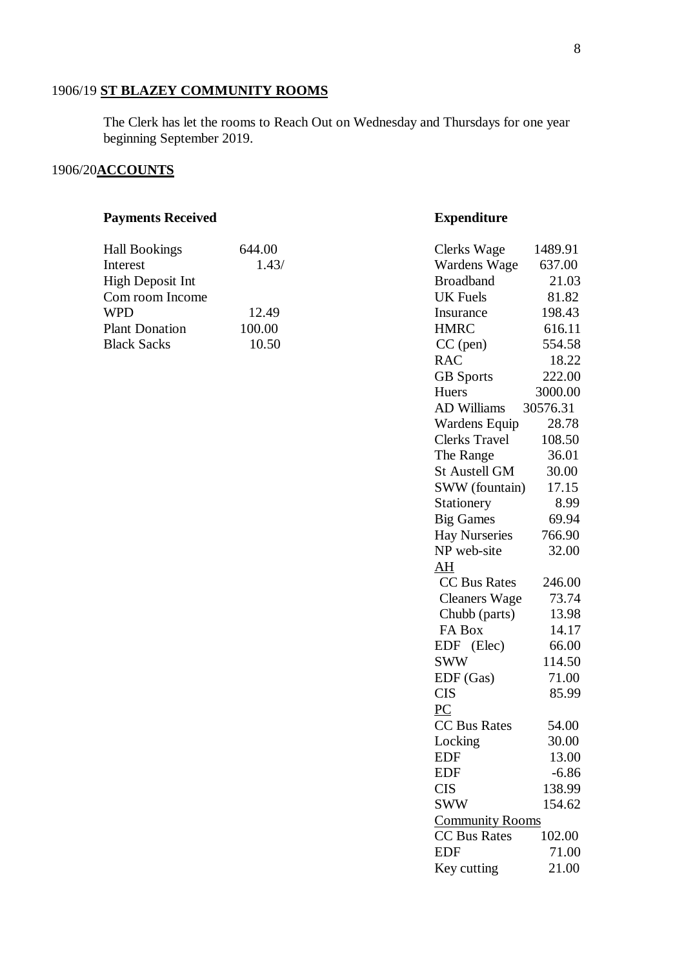### 1906/19 **ST BLAZEY COMMUNITY ROOMS**

The Clerk has let the rooms to Reach Out on Wednesday and Thursdays for one year beginning September 2019.

### 1906/20**ACCOUNTS**

#### **Payments Received <b>Expenditure**

| <b>Hall Bookings</b>  | 644.00 | Clerks Wage      | 1489.91 |
|-----------------------|--------|------------------|---------|
| Interest              | 1.43/  | Wardens Wage     | 637.00  |
| High Deposit Int      |        | <b>Broadband</b> | 21.03   |
| Com room Income       |        | UK Fuels         | 81.82   |
| WPD                   | 12.49  | Insurance        | 198.43  |
| <b>Plant Donation</b> | 100.00 | <b>HMRC</b>      | 616.11  |
| <b>Black Sacks</b>    | 10.50  | $CC$ (pen)       | 554.58  |

# $CC (pen)$  554.58 RAC 18.22 GB Sports 222.00 Huers 3000.00 AD Williams 30576.31 Wardens Equip 28.78 Clerks Travel 108.50 The Range  $36.01$ St Austell GM 30.00 SWW (fountain) 17.15 Stationery 8.99 Big Games 69.94 Hay Nurseries 766.90 NP web-site 32.00 AH CC Bus Rates 246.00 Cleaners Wage 73.74 Chubb (parts) 13.98 FA Box 14.17 EDF (Elec) 66.00 SWW 114.50 EDF (Gas) 71.00 CIS 85.99 PC CC Bus Rates 54.00 Locking 30.00 EDF 13.00  $EDF$   $-6.86$ CIS 138.99 SWW 154.62 Community Rooms CC Bus Rates 102.00 EDF 71.00

Key cutting 21.00